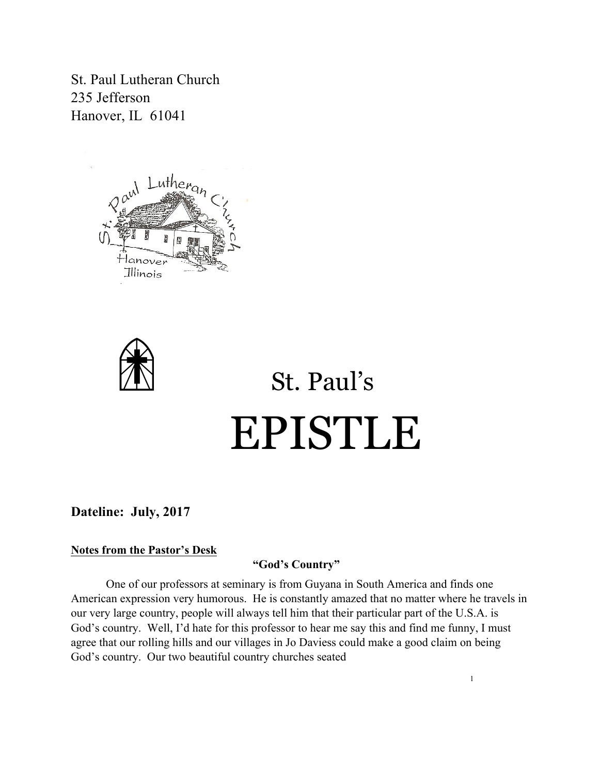St. Paul Lutheran Church 235 Jefferson Hanover, IL 61041





# St. Paul's EPISTLE

**Dateline: July, 2017**

### **Notes from the Pastor's Desk**

# **"God's Country"**

One of our professors at seminary is from Guyana in South America and finds one American expression very humorous. He is constantly amazed that no matter where he travels in our very large country, people will always tell him that their particular part of the U.S.A. is God's country. Well, I'd hate for this professor to hear me say this and find me funny, I must agree that our rolling hills and our villages in Jo Daviess could make a good claim on being God's country. Our two beautiful country churches seated

1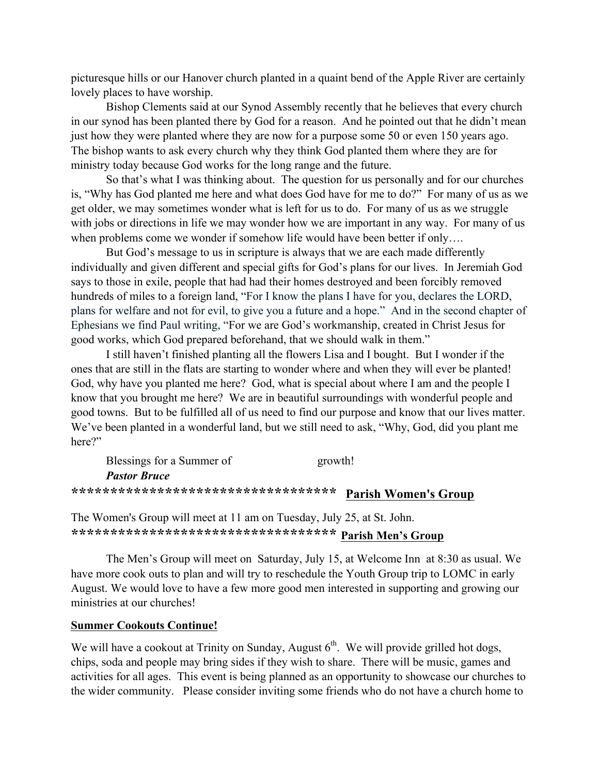picturesque hills or our Hanover church planted in a quaint bend of the Apple River are certainly lovely places to have worship.

Bishop Clements said at our Synod Assembly recently that he believes that every church in our synod has been planted there by God for a reason. And he pointed out that he didn't mean just how they were planted where they are now for a purpose some 50 or even 150 years ago. The bishop wants to ask every church why they think God planted them where they are for ministry today because God works for the long range and the future.

So that's what I was thinking about. The question for us personally and for our churches is, "Why has God planted me here and what does God have for me to do?" For many of us as we get older, we may sometimes wonder what is left for us to do. For many of us as we struggle with jobs or directions in life we may wonder how we are important in any way. For many of us when problems come we wonder if somehow life would have been better if only....

But God's message to us in scripture is always that we are each made differently individually and given different and special gifts for God's plans for our lives. In Jeremiah God says to those in exile, people that had had their homes destroyed and been forcibly removed hundreds of miles to a foreign land, "For I know the plans I have for you, declares the LORD, plans for welfare and not for evil, to give you a future and a hope." And in the second chapter of Ephesians we find Paul writing, "For we are God's workmanship, created in Christ Jesus for good works, which God prepared beforehand, that we should walk in them."

I still haven't finished planting all the flowers Lisa and I bought. But I wonder if the ones that are still in the flats are starting to wonder where and when they will ever be planted! God, why have you planted me here? God, what is special about where I am and the people I know that you brought me here? We are in beautiful surroundings with wonderful people and good towns. But to be fulfilled all of us need to find our purpose and know that our lives matter. We've been planted in a wonderful land, but we still need to ask, "Why, God, did you plant me here?"

| Blessings for a Summer of            | growth!                     |
|--------------------------------------|-----------------------------|
| <b>Pastor Bruce</b>                  |                             |
| ************************************ | <b>Parish Women's Group</b> |

The Women's Group will meet at 11 am on Tuesday, July 25, at St. John. **\*\*\*\*\*\*\*\*\*\*\*\*\*\*\*\*\*\*\*\*\*\*\*\*\*\*\*\*\*\*\*\*\*\* Parish Men's Group**

The Men's Group will meet on Saturday, July 15, at Welcome Inn at 8:30 as usual. We have more cook outs to plan and will try to reschedule the Youth Group trip to LOMC in early August. We would love to have a few more good men interested in supporting and growing our ministries at our churches!

#### **Summer Cookouts Continue!**

We will have a cookout at Trinity on Sunday, August  $6<sup>th</sup>$ . We will provide grilled hot dogs, chips, soda and people may bring sides if they wish to share. There will be music, games and activities for all ages. This event is being planned as an opportunity to showcase our churches to the wider community. Please consider inviting some friends who do not have a church home to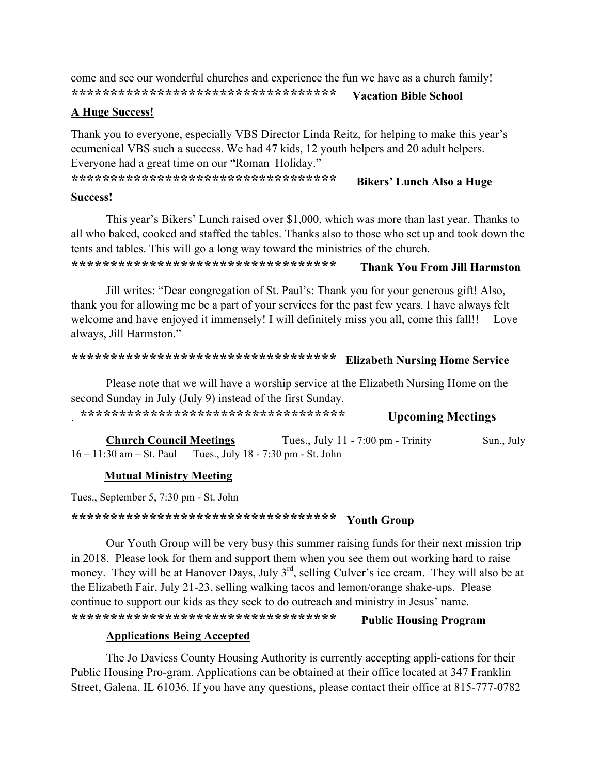come and see our wonderful churches and experience the fun we have as a church family! **\*\*\*\*\*\*\*\*\*\*\*\*\*\*\*\*\*\*\*\*\*\*\*\*\*\*\*\*\*\*\*\*\*\* Vacation Bible School** 

## **A Huge Success!**

Thank you to everyone, especially VBS Director Linda Reitz, for helping to make this year's ecumenical VBS such a success. We had 47 kids, 12 youth helpers and 20 adult helpers. Everyone had a great time on our "Roman Holiday."

**\*\*\*\*\*\*\*\*\*\*\*\*\*\*\*\*\*\*\*\*\*\*\*\*\*\*\*\*\*\*\*\*\*\* Bikers' Lunch Also a Huge** 

#### **Success!**

This year's Bikers' Lunch raised over \$1,000, which was more than last year. Thanks to all who baked, cooked and staffed the tables. Thanks also to those who set up and took down the tents and tables. This will go a long way toward the ministries of the church.

# **\*\*\*\*\*\*\*\*\*\*\*\*\*\*\*\*\*\*\*\*\*\*\*\*\*\*\*\*\*\*\*\*\*\* Thank You From Jill Harmston**

Jill writes: "Dear congregation of St. Paul's: Thank you for your generous gift! Also, thank you for allowing me be a part of your services for the past few years. I have always felt welcome and have enjoyed it immensely! I will definitely miss you all, come this fall!! Love always, Jill Harmston."

# **\*\*\*\*\*\*\*\*\*\*\*\*\*\*\*\*\*\*\*\*\*\*\*\*\*\*\*\*\*\*\*\*\*\* Elizabeth Nursing Home Service**

Please note that we will have a worship service at the Elizabeth Nursing Home on the second Sunday in July (July 9) instead of the first Sunday.

. **\*\*\*\*\*\*\*\*\*\*\*\*\*\*\*\*\*\*\*\*\*\*\*\*\*\*\*\*\*\*\*\*\*\* Upcoming Meetings** 

**Church Council Meetings** Tues., July 11 - 7:00 pm - Trinity Sun., July 16 – 11:30 am – St. Paul Tues., July 18 - 7:30 pm - St. John

### **Mutual Ministry Meeting**

Tues., September 5, 7:30 pm - St. John

**\*\*\*\*\*\*\*\*\*\*\*\*\*\*\*\*\*\*\*\*\*\*\*\*\*\*\*\*\*\*\*\*\*\* Youth Group**

Our Youth Group will be very busy this summer raising funds for their next mission trip in 2018. Please look for them and support them when you see them out working hard to raise money. They will be at Hanover Days, July 3<sup>rd</sup>, selling Culver's ice cream. They will also be at the Elizabeth Fair, July 21-23, selling walking tacos and lemon/orange shake-ups. Please continue to support our kids as they seek to do outreach and ministry in Jesus' name. **\*\*\*\*\*\*\*\*\*\*\*\*\*\*\*\*\*\*\*\*\*\*\*\*\*\*\*\*\*\*\*\*\*\* Public Housing Program** 

### **Applications Being Accepted**

The Jo Daviess County Housing Authority is currently accepting appli-cations for their Public Housing Pro-gram. Applications can be obtained at their office located at 347 Franklin Street, Galena, IL 61036. If you have any questions, please contact their office at 815-777-0782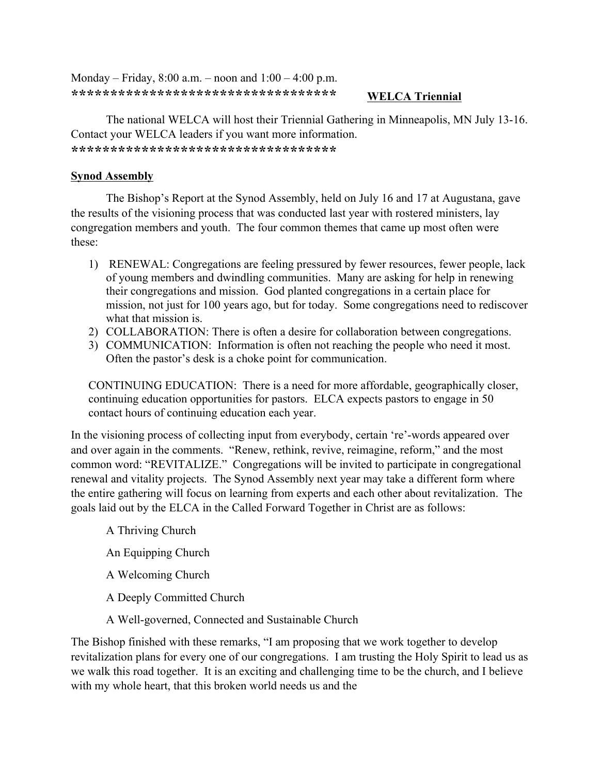Monday – Friday,  $8:00$  a.m. – noon and  $1:00 - 4:00$  p.m. **\*\*\*\*\*\*\*\*\*\*\*\*\*\*\*\*\*\*\*\*\*\*\*\*\*\*\*\*\*\*\*\*\*\* WELCA Triennial**

The national WELCA will host their Triennial Gathering in Minneapolis, MN July 13-16. Contact your WELCA leaders if you want more information. **\*\*\*\*\*\*\*\*\*\*\*\*\*\*\*\*\*\*\*\*\*\*\*\*\*\*\*\*\*\*\*\*\*\*** 

# **Synod Assembly**

The Bishop's Report at the Synod Assembly, held on July 16 and 17 at Augustana, gave the results of the visioning process that was conducted last year with rostered ministers, lay congregation members and youth. The four common themes that came up most often were these:

- 1) RENEWAL: Congregations are feeling pressured by fewer resources, fewer people, lack of young members and dwindling communities. Many are asking for help in renewing their congregations and mission. God planted congregations in a certain place for mission, not just for 100 years ago, but for today. Some congregations need to rediscover what that mission is.
- 2) COLLABORATION: There is often a desire for collaboration between congregations.
- 3) COMMUNICATION: Information is often not reaching the people who need it most. Often the pastor's desk is a choke point for communication.

CONTINUING EDUCATION: There is a need for more affordable, geographically closer, continuing education opportunities for pastors. ELCA expects pastors to engage in 50 contact hours of continuing education each year.

In the visioning process of collecting input from everybody, certain 're'-words appeared over and over again in the comments. "Renew, rethink, revive, reimagine, reform," and the most common word: "REVITALIZE." Congregations will be invited to participate in congregational renewal and vitality projects. The Synod Assembly next year may take a different form where the entire gathering will focus on learning from experts and each other about revitalization. The goals laid out by the ELCA in the Called Forward Together in Christ are as follows:

- A Thriving Church
- An Equipping Church
- A Welcoming Church
- A Deeply Committed Church
- A Well-governed, Connected and Sustainable Church

The Bishop finished with these remarks, "I am proposing that we work together to develop revitalization plans for every one of our congregations. I am trusting the Holy Spirit to lead us as we walk this road together. It is an exciting and challenging time to be the church, and I believe with my whole heart, that this broken world needs us and the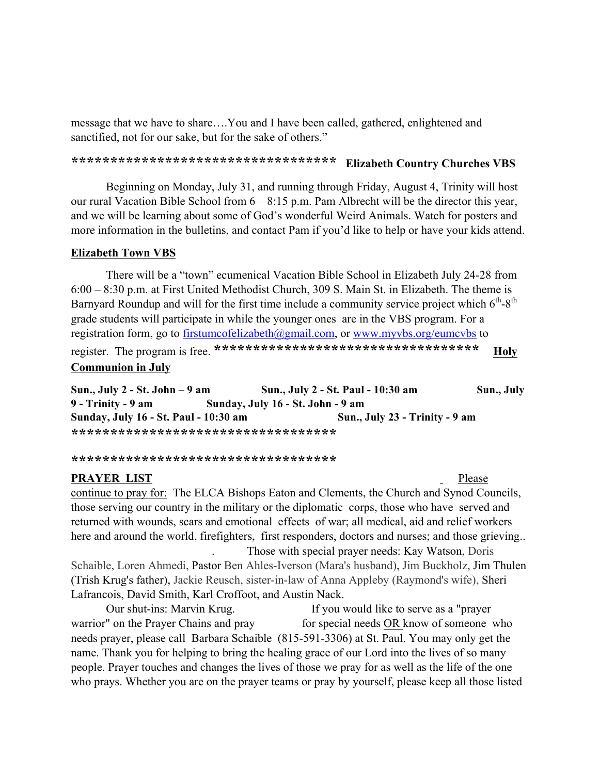message that we have to share….You and I have been called, gathered, enlightened and sanctified, not for our sake, but for the sake of others."

# **\*\*\*\*\*\*\*\*\*\*\*\*\*\*\*\*\*\*\*\*\*\*\*\*\*\*\*\*\*\*\*\*\*\* Elizabeth Country Churches VBS**

Beginning on Monday, July 31, and running through Friday, August 4, Trinity will host our rural Vacation Bible School from 6 – 8:15 p.m. Pam Albrecht will be the director this year, and we will be learning about some of God's wonderful Weird Animals. Watch for posters and more information in the bulletins, and contact Pam if you'd like to help or have your kids attend.

#### **Elizabeth Town VBS**

There will be a "town" ecumenical Vacation Bible School in Elizabeth July 24-28 from 6:00 – 8:30 p.m. at First United Methodist Church, 309 S. Main St. in Elizabeth. The theme is Barnyard Roundup and will for the first time include a community service project which  $6<sup>th</sup>-8<sup>th</sup>$ grade students will participate in while the younger ones are in the VBS program. For a registration form, go to firstumcofelizabeth@gmail.com, or www.myvbs.org/eumcvbs to register. The program is free. **\*\*\*\*\*\*\*\*\*\*\*\*\*\*\*\*\*\*\*\*\*\*\*\*\*\*\*\*\*\*\*\*\*\* Holy Communion in July** 

**Sun., July 2 - St. John – 9 am Sun., July 2 - St. Paul - 10:30 am Sun., July 9 - Trinity - 9 am Sunday, July 16 - St. John - 9 am Sunday, July 16 - St. Paul - 10:30 am Sun., July 23 - Trinity - 9 am \*\*\*\*\*\*\*\*\*\*\*\*\*\*\*\*\*\*\*\*\*\*\*\*\*\*\*\*\*\*\*\*\*\*** 

**\*\*\*\*\*\*\*\*\*\*\*\*\*\*\*\*\*\*\*\*\*\*\*\*\*\*\*\*\*\*\*\*\*\***

#### **PRAYER LIST** Please

continue to pray for: The ELCA Bishops Eaton and Clements, the Church and Synod Councils, those serving our country in the military or the diplomatic corps, those who have served and returned with wounds, scars and emotional effects of war; all medical, aid and relief workers here and around the world, firefighters, first responders, doctors and nurses; and those grieving... . Those with special prayer needs: Kay Watson, Doris

Schaible, Loren Ahmedi, Pastor Ben Ahles-Iverson (Mara's husband), Jim Buckholz, Jim Thulen (Trish Krug's father), Jackie Reusch, sister-in-law of Anna Appleby (Raymond's wife), Sheri Lafrancois, David Smith, Karl Croffoot, and Austin Nack.

Our shut-ins: Marvin Krug. If you would like to serve as a "prayer warrior" on the Prayer Chains and pray for special needs OR know of someone who needs prayer, please call Barbara Schaible (815-591-3306) at St. Paul. You may only get the name. Thank you for helping to bring the healing grace of our Lord into the lives of so many people. Prayer touches and changes the lives of those we pray for as well as the life of the one who prays. Whether you are on the prayer teams or pray by yourself, please keep all those listed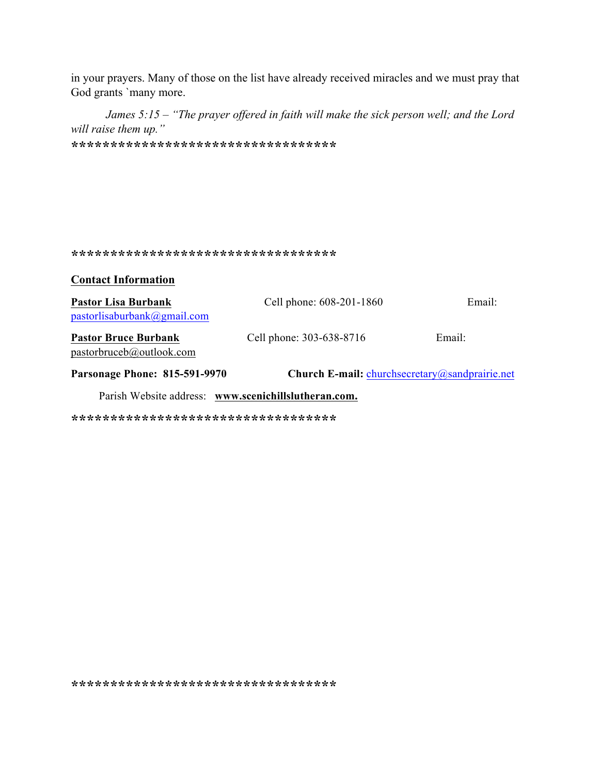in your prayers. Many of those on the list have already received miracles and we must pray that God grants `many more.

*James 5:15 – "The prayer offered in faith will make the sick person well; and the Lord will raise them up."*  **\*\*\*\*\*\*\*\*\*\*\*\*\*\*\*\*\*\*\*\*\*\*\*\*\*\*\*\*\*\*\*\*\*\***

#### **\*\*\*\*\*\*\*\*\*\*\*\*\*\*\*\*\*\*\*\*\*\*\*\*\*\*\*\*\*\*\*\*\*\***

**Contact Information** 

| <b>Pastor Lisa Burbank</b><br>pastorlisaburbank@gmail.com | Cell phone: 608-201-1860                              | Email: |  |  |
|-----------------------------------------------------------|-------------------------------------------------------|--------|--|--|
| <b>Pastor Bruce Burbank</b><br>pastorbruceb@outlook.com   | Cell phone: 303-638-8716                              | Email: |  |  |
| <b>Parsonage Phone: 815-591-9970</b>                      | <b>Church E-mail:</b> churchsecretary@sandprairie.net |        |  |  |
| Parish Website address: www.scenichillslutheran.com.      |                                                       |        |  |  |

**\*\*\*\*\*\*\*\*\*\*\*\*\*\*\*\*\*\*\*\*\*\*\*\*\*\*\*\*\*\*\*\*\*\***